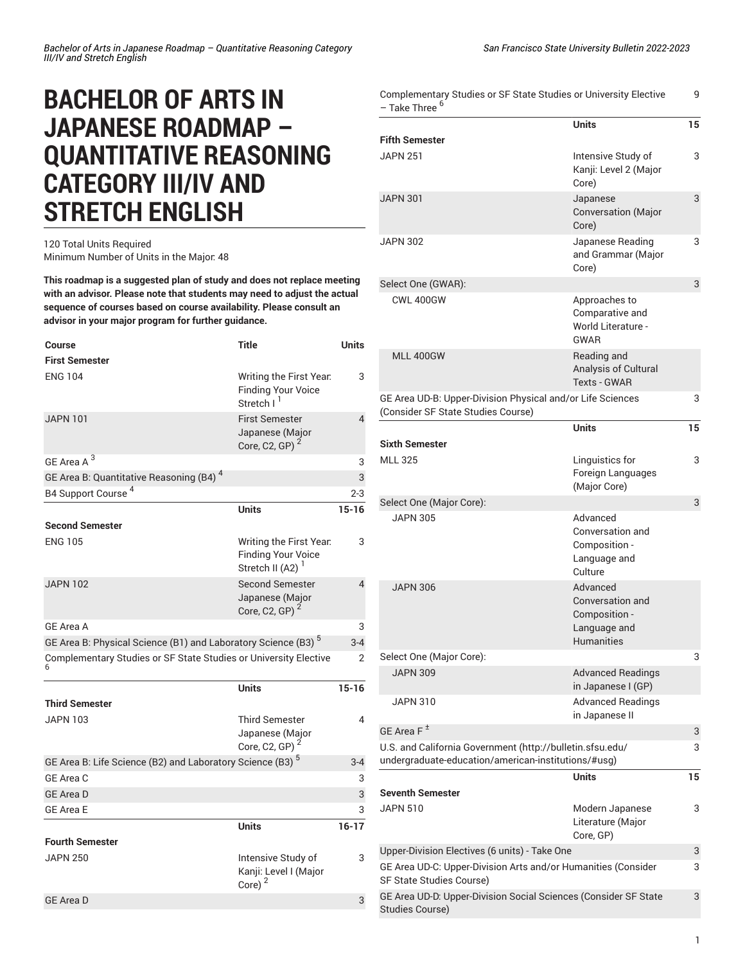## **BACHELOR OF ARTS IN JAPANESE ROADMAP – QUANTITATIVE REASONING CATEGORY III/IV AND STRETCH ENGLISH**

## 120 Total Units Required Minimum Number of Units in the Major: 48

**This roadmap is a suggested plan of study and does not replace meeting with an advisor. Please note that students may need to adjust the actual sequence of courses based on course availability. Please consult an advisor in your major program for further guidance.**

| <b>Course</b>                                                             | <b>Title</b>                                                                         | <b>Units</b> |
|---------------------------------------------------------------------------|--------------------------------------------------------------------------------------|--------------|
| <b>First Semester</b>                                                     |                                                                                      |              |
| <b>ENG 104</b>                                                            | Writing the First Year.<br><b>Finding Your Voice</b><br>Stretch I <sup>1</sup>       | 3            |
| <b>JAPN 101</b>                                                           | <b>First Semester</b><br>Japanese (Major<br>Core, C2, GP) $^2$                       | 4            |
| GE Area A <sup>3</sup>                                                    |                                                                                      | 3            |
| GE Area B: Quantitative Reasoning (B4) <sup>4</sup>                       |                                                                                      | 3            |
| B4 Support Course <sup>4</sup>                                            |                                                                                      | $2 - 3$      |
|                                                                           | <b>Units</b>                                                                         | $15 - 16$    |
| <b>Second Semester</b>                                                    |                                                                                      |              |
| <b>ENG 105</b>                                                            | Writing the First Year.<br><b>Finding Your Voice</b><br>Stretch II (A2) <sup>1</sup> | 3            |
| <b>JAPN 102</b>                                                           | <b>Second Semester</b><br>Japanese (Major<br>Core, C2, GP) <sup>2</sup>              | 4            |
| GE Area A                                                                 |                                                                                      | 3            |
| GE Area B: Physical Science (B1) and Laboratory Science (B3) <sup>5</sup> |                                                                                      | $3 - 4$      |
| Complementary Studies or SF State Studies or University Elective          |                                                                                      | 2            |
|                                                                           | <b>Units</b>                                                                         | $15 - 16$    |
| <b>Third Semester</b>                                                     |                                                                                      |              |
| <b>JAPN 103</b>                                                           | <b>Third Semester</b><br>Japanese (Major<br>Core, C2, GP) $^2$                       | 4            |
| GE Area B: Life Science (B2) and Laboratory Science (B3) <sup>5</sup>     |                                                                                      | $3 - 4$      |
| GE Area C                                                                 |                                                                                      | 3            |
| <b>GE Area D</b>                                                          |                                                                                      | 3            |
| <b>GE Area E</b>                                                          |                                                                                      | 3            |
|                                                                           | <b>Units</b>                                                                         | $16 - 17$    |
| <b>Fourth Semester</b>                                                    |                                                                                      |              |
| <b>JAPN 250</b>                                                           | Intensive Study of<br>Kanji: Level I (Major<br>Core) $2$                             | 3            |
| <b>GE Area D</b>                                                          |                                                                                      | 3            |
|                                                                           |                                                                                      |              |

| Complementary Studies or SF State Studies or University Elective<br>9<br>– Take Three <sup>6</sup>               |                                                                                    |    |
|------------------------------------------------------------------------------------------------------------------|------------------------------------------------------------------------------------|----|
|                                                                                                                  | <b>Units</b>                                                                       | 15 |
| Fifth Semester                                                                                                   |                                                                                    |    |
| <b>JAPN 251</b>                                                                                                  | Intensive Study of<br>Kanji: Level 2 (Major<br>Core)                               | 3  |
| JAPN 301                                                                                                         | Japanese<br><b>Conversation</b> (Major<br>Core)                                    | 3  |
| <b>JAPN 302</b>                                                                                                  | Japanese Reading<br>and Grammar (Major<br>Core)                                    | 3  |
| Select One (GWAR):                                                                                               |                                                                                    | 3  |
| <b>CWL 400GW</b>                                                                                                 | Approaches to<br>Comparative and<br><b>World Literature -</b><br><b>GWAR</b>       |    |
| <b>MLL 400GW</b>                                                                                                 | Reading and<br>Analysis of Cultural<br><b>Texts - GWAR</b>                         |    |
| GE Area UD-B: Upper-Division Physical and/or Life Sciences<br>(Consider SF State Studies Course)                 |                                                                                    | 3  |
| Sixth Semester                                                                                                   | <b>Units</b>                                                                       | 15 |
| <b>MLL 325</b>                                                                                                   | Linguistics for<br>Foreign Languages<br>(Major Core)                               | 3  |
| Select One (Major Core):                                                                                         |                                                                                    | 3  |
| <b>JAPN 305</b>                                                                                                  | Advanced<br>Conversation and<br>Composition -<br>Language and<br>Culture           |    |
| <b>JAPN 306</b>                                                                                                  | Advanced<br>Conversation and<br>Composition -<br>Language and<br><b>Humanities</b> |    |
| Select One (Major Core):                                                                                         |                                                                                    | 3  |
| <b>JAPN 309</b>                                                                                                  | <b>Advanced Readings</b><br>in Japanese I (GP)                                     |    |
| <b>JAPN 310</b>                                                                                                  | <b>Advanced Readings</b><br>in Japanese II                                         |    |
| GE Area F $^{\pm}$                                                                                               |                                                                                    | 3  |
| U.S. and California Government (http://bulletin.sfsu.edu/<br>undergraduate-education/american-institutions/#usg) |                                                                                    | 3  |
|                                                                                                                  | Units                                                                              | 15 |
| Seventh Semester                                                                                                 |                                                                                    |    |
| <b>JAPN 510</b>                                                                                                  | Modern Japanese<br>Literature (Major<br>Core, GP)                                  | 3  |
| Upper-Division Electives (6 units) - Take One                                                                    |                                                                                    | 3  |
| GE Area UD-C: Upper-Division Arts and/or Humanities (Consider<br>SF State Studies Course)                        |                                                                                    | 3  |
| GE Area UD-D: Upper-Division Social Sciences (Consider SF State<br><b>Studies Course)</b>                        |                                                                                    | 3  |